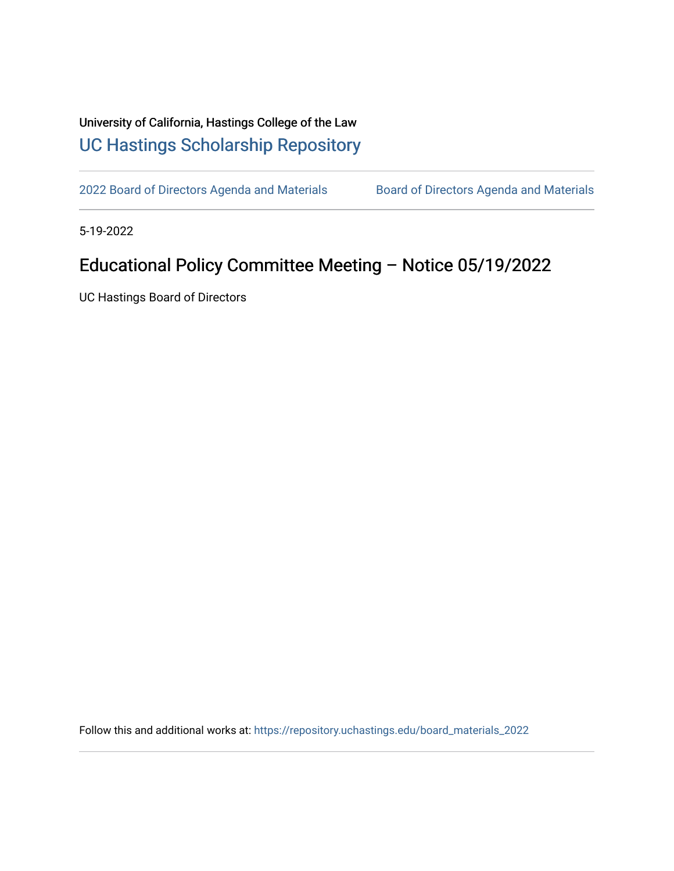## University of California, Hastings College of the Law [UC Hastings Scholarship Repository](https://repository.uchastings.edu/)

[2022 Board of Directors Agenda and Materials](https://repository.uchastings.edu/board_materials_2022) Board of Directors Agenda and Materials

5-19-2022

## Educational Policy Committee Meeting – Notice 05/19/2022

UC Hastings Board of Directors

Follow this and additional works at: [https://repository.uchastings.edu/board\\_materials\\_2022](https://repository.uchastings.edu/board_materials_2022?utm_source=repository.uchastings.edu%2Fboard_materials_2022%2F33&utm_medium=PDF&utm_campaign=PDFCoverPages)